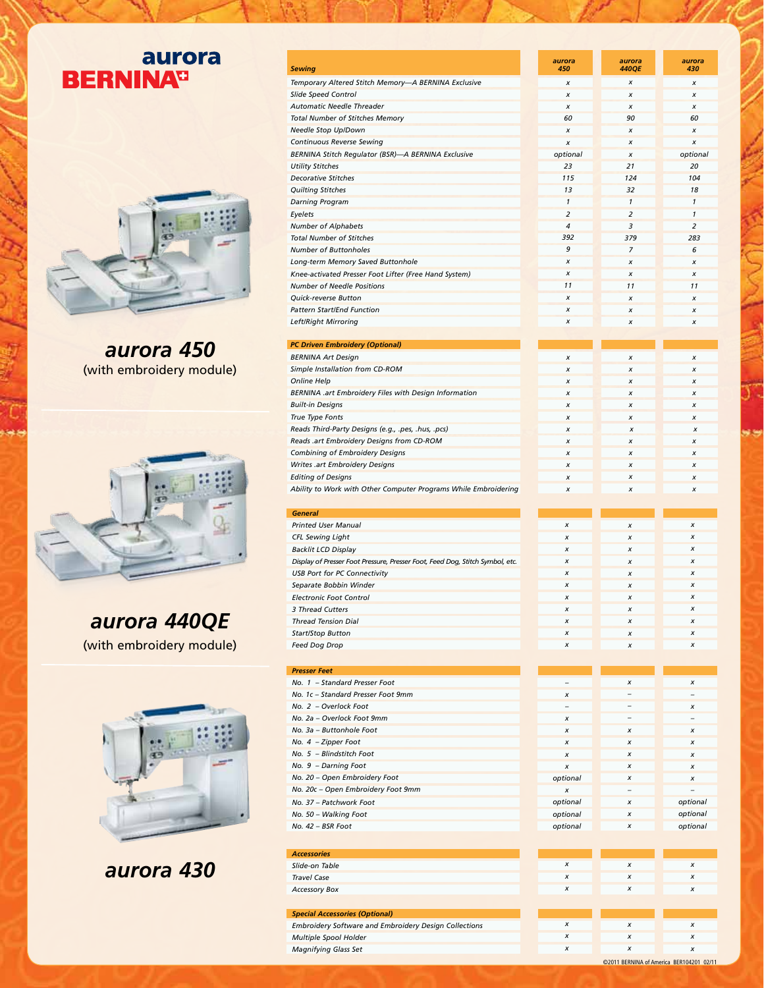## aurora **BERNINA**<sup>D</sup>



*aurora 450* (with embroidery module)



*aurora 440QE* (with embroidery module)



*aurora 430*

| Sewing                                                                        | aurora<br>450            | aurora<br><b>440QE</b>   | aurora<br>430            |
|-------------------------------------------------------------------------------|--------------------------|--------------------------|--------------------------|
| Temporary Altered Stitch Memory—A BERNINA Exclusive                           | x                        | x                        | x                        |
| Slide Speed Control                                                           | x                        | x                        | x                        |
| Automatic Needle Threader                                                     | X                        | x                        | х                        |
| <b>Total Number of Stitches Memory</b>                                        | 60                       | 90                       | 60                       |
| Needle Stop Up/Down                                                           | x                        | $\pmb{\times}$           | x                        |
| <b>Continuous Reverse Sewing</b>                                              | X                        | x                        | x                        |
| BERNINA Stitch Regulator (BSR)-A BERNINA Exclusive                            | optional                 | x                        | optional                 |
| <b>Utility Stitches</b>                                                       | 23                       | 21                       | 20                       |
| <b>Decorative Stitches</b>                                                    | 115                      | 124                      | 104                      |
| <b>Quilting Stitches</b>                                                      | 1 <sub>3</sub>           | 32                       | 18                       |
| <b>Darning Program</b>                                                        | $\mathbf{1}$             | $\mathbf{1}$             | $\mathbf{1}$             |
| Eyelets                                                                       | 2                        | 2                        | 1                        |
| <b>Number of Alphabets</b>                                                    | 4                        | 3                        | $\overline{a}$           |
| <b>Total Number of Stitches</b>                                               | 392                      | 379                      | 283                      |
| <b>Number of Buttonholes</b>                                                  | 9                        | 7                        | 6                        |
|                                                                               | x                        |                          |                          |
| Long-term Memory Saved Buttonhole                                             | x                        | x                        | x                        |
| Knee-activated Presser Foot Lifter (Free Hand System)                         | 11                       | $\pmb{\times}$           | x                        |
| <b>Number of Needle Positions</b>                                             |                          | 11                       | 11                       |
| <b>Ouick-reverse Button</b>                                                   | x                        | x                        | x                        |
| <b>Pattern Start/End Function</b>                                             | x                        | $\boldsymbol{x}$         | x                        |
| <b>Left/Right Mirroring</b>                                                   | x                        | x                        | x                        |
|                                                                               |                          |                          |                          |
| <b>PC Driven Embroidery (Optional)</b>                                        |                          |                          |                          |
| <b>BERNINA Art Design</b>                                                     | X                        | x                        | x                        |
| Simple Installation from CD-ROM                                               | x                        | $\pmb{\times}$           | x                        |
| Online Help                                                                   | x                        | $\pmb{\times}$           | x                        |
| BERNINA .art Embroidery Files with Design Information                         | X                        | x                        | x                        |
| <b>Built-in Designs</b>                                                       | x                        | $\pmb{\times}$           | x                        |
| True Type Fonts                                                               | x                        | x                        | x                        |
| Reads Third-Party Designs (e.g., .pes, .hus, .pcs)                            | x                        | x                        | x                        |
| Reads .art Embroidery Designs from CD-ROM                                     | x                        | $\pmb{\times}$           | x                        |
| Combining of Embroidery Designs                                               | X                        | x                        | x                        |
| Writes .art Embroidery Designs                                                | x                        | $\pmb{\times}$           | x                        |
| <b>Editing of Designs</b>                                                     | x                        | x                        | x                        |
| Ability to Work with Other Computer Programs While Embroidering               | x                        | x                        | x                        |
|                                                                               |                          |                          |                          |
| <b>General</b>                                                                |                          |                          |                          |
| <b>Printed User Manual</b>                                                    | x                        | x                        | x                        |
| <b>CFL Sewing Light</b>                                                       | x                        | x                        | x                        |
| <b>Backlit LCD Display</b>                                                    | x                        | x                        | x                        |
| Display of Presser Foot Pressure, Presser Foot, Feed Dog, Stitch Symbol, etc. | x                        | x                        | x                        |
|                                                                               |                          |                          | X                        |
|                                                                               |                          |                          |                          |
| <b>USB Port for PC Connectivity</b>                                           | x                        | x                        |                          |
| Separate Bobbin Winder                                                        | x                        | x                        | x                        |
| <b>Electronic Foot Control</b>                                                | X                        | x                        | x                        |
| 3 Thread Cutters                                                              | x                        | x                        | x                        |
| <b>Thread Tension Dial</b>                                                    | x                        | x                        | x                        |
| <b>Start/Stop Button</b>                                                      | x                        | x                        | X                        |
| <b>Feed Dog Drop</b>                                                          | x                        | x                        | x                        |
|                                                                               |                          |                          |                          |
| <b>Presser Feet</b>                                                           |                          |                          |                          |
| No. 1 - Standard Presser Foot                                                 | $\overline{a}$           | x                        | x                        |
| No. 1c - Standard Presser Foot 9mm                                            | X                        | $\overline{\phantom{0}}$ | $\qquad \qquad -$        |
| No. 2 - Overlock Foot                                                         | $\overline{\phantom{0}}$ |                          | x                        |
| No. 2a - Overlock Foot 9mm                                                    | x                        | $\qquad \qquad -$        | $\qquad \qquad -$        |
| No. 3a - Buttonhole Foot                                                      | x                        | x                        | x                        |
| No. 4 - Zipper Foot                                                           | x                        | x                        | x                        |
| No. 5 - Blindstitch Foot                                                      | x                        | x                        | x                        |
| No. 9 - Darning Foot                                                          | x                        | x                        | x                        |
|                                                                               |                          | x                        |                          |
| No. 20 - Open Embroidery Foot                                                 | optional                 | $\overline{\phantom{0}}$ | x                        |
| No. 20c - Open Embroidery Foot 9mm                                            | x                        |                          | $\overline{\phantom{0}}$ |
| No. 37 - Patchwork Foot                                                       | optional                 | x                        | optional                 |
| No. 50 - Walking Foot                                                         | optional                 | x                        | optional                 |
| No. 42 - BSR Foot                                                             | optional                 | x                        | optional                 |
|                                                                               |                          |                          |                          |
| <b>Accessories</b>                                                            |                          |                          |                          |
| Slide-on Table                                                                | x                        | x                        | x                        |
| <b>Travel Case</b>                                                            | x                        | x                        | x                        |
| <b>Accessory Box</b>                                                          | x                        | x                        | x                        |
|                                                                               |                          |                          |                          |
| <b>Special Accessories (Optional)</b>                                         |                          |                          |                          |
| Embroidery Software and Embroidery Design Collections                         | x                        | x                        | x                        |
| Multiple Spool Holder                                                         | x                        | x                        | x                        |
| <b>Magnifying Glass Set</b>                                                   | x                        | x                        | X                        |